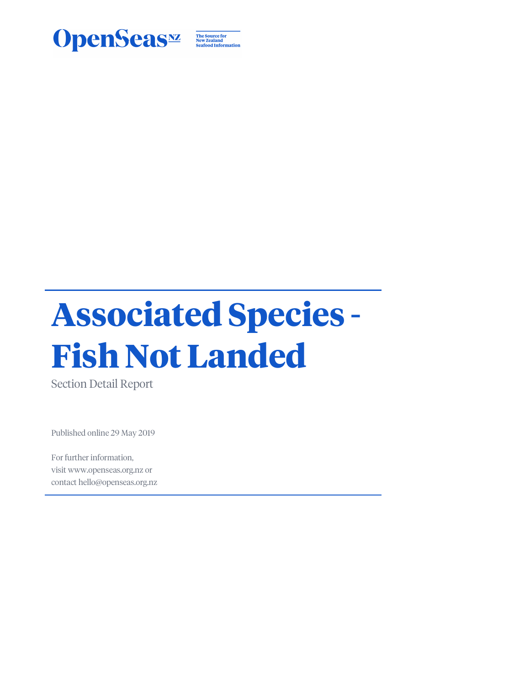

The Source for<br>New Zealand<br>Seafood Information

# **Associated Species - Fish Not Landed**

Section Detail Report

Published online 29 May 2019

For further information, visit www.openseas.org.nz or contact hello@openseas.org.nz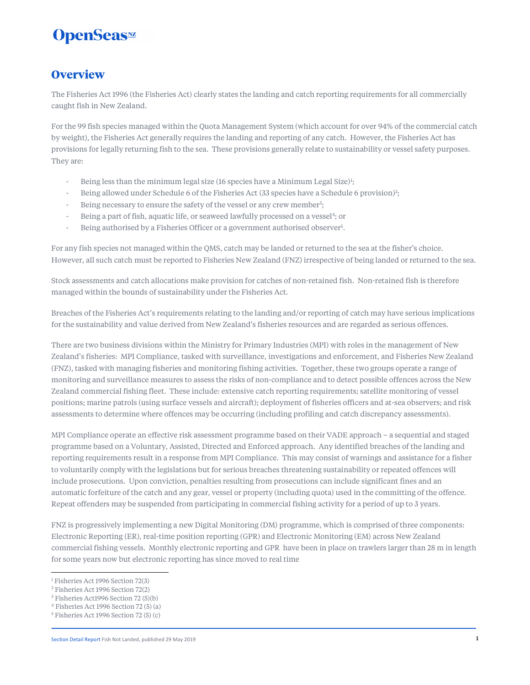### **Overview**

The Fisheries Act 1996 (the Fisheries Act) clearly states the landing and catch reporting requirements for all commercially caught fish in New Zealand.

For the 99 fish species managed within the Quota Management System (which account for over 94% of the commercial catch by weight), the Fisheries Act generally requires the landing and reporting of any catch. However, the Fisheries Act has provisions for legally returning fish to the sea. These provisions generally relate to sustainability or vessel safety purposes. They are:

- Being less than the minimum legal size (16 species have a Minimum Legal Size)<sup>1</sup>;
- Being allowed under Schedule 6 of the Fisheries Act (33 species have a Schedule 6 provision)<sup>2</sup>;
- Being necessary to ensure the safety of the vessel or any crew member<sup>3</sup>;
- Being a part of fish, aquatic life, or seaweed lawfully processed on a vessel<sup>4</sup>; or
- Being authorised by a Fisheries Officer or a government authorised observer<sup>5</sup> .

For any fish species not managed within the QMS, catch may be landed or returned to the sea at the fisher's choice. However, all such catch must be reported to Fisheries New Zealand (FNZ) irrespective of being landed or returned to the sea.

Stock assessments and catch allocations make provision for catches of non-retained fish. Non-retained fish is therefore managed within the bounds of sustainability under the Fisheries Act.

Breaches of the Fisheries Act's requirements relating to the landing and/or reporting of catch may have serious implications for the sustainability and value derived from New Zealand's fisheries resources and are regarded as serious offences.

There are two business divisions within the Ministry for Primary Industries (MPI) with roles in the management of New Zealand's fisheries: MPI Compliance, tasked with surveillance, investigations and enforcement, and Fisheries New Zealand (FNZ), tasked with managing fisheries and monitoring fishing activities. Together, these two groups operate a range of monitoring and surveillance measures to assess the risks of non-compliance and to detect possible offences across the New Zealand commercial fishing fleet. These include: extensive catch reporting requirements; satellite monitoring of vessel positions; marine patrols (using surface vessels and aircraft); deployment of fisheries officers and at-sea observers; and risk assessments to determine where offences may be occurring (including profiling and catch discrepancy assessments).

MPI Compliance operate an effective risk assessment programme based on their VADE approach – a sequential and staged programme based on a Voluntary, Assisted, Directed and Enforced approach. Any identified breaches of the landing and reporting requirements result in a response from MPI Compliance. This may consist of warnings and assistance for a fisher to voluntarily comply with the legislations but for serious breaches threatening sustainability or repeated offences will include prosecutions. Upon conviction, penalties resulting from prosecutions can include significant fines and an automatic forfeiture of the catch and any gear, vessel or property (including quota) used in the committing of the offence. Repeat offenders may be suspended from participating in commercial fishing activity for a period of up to 3 years.

FNZ is progressively implementing a new Digital Monitoring (DM) programme, which is comprised of three components: Electronic Reporting (ER), real-time position reporting (GPR) and Electronic Monitoring (EM) across New Zealand commercial fishing vessels. Monthly electronic reporting and GPR have been in place on trawlers larger than 28 m in length for some years now but electronic reporting has since moved to real time

<sup>1</sup> Fisheries Act 1996 Section 72(3)

<sup>2</sup> Fisheries Act 1996 Section 72(2)

<sup>3</sup> Fisheries Act1996 Section 72 (5)(b)

<sup>4</sup> Fisheries Act 1996 Section 72 (5) (a)

<sup>5</sup> Fisheries Act 1996 Section 72 (5) (c)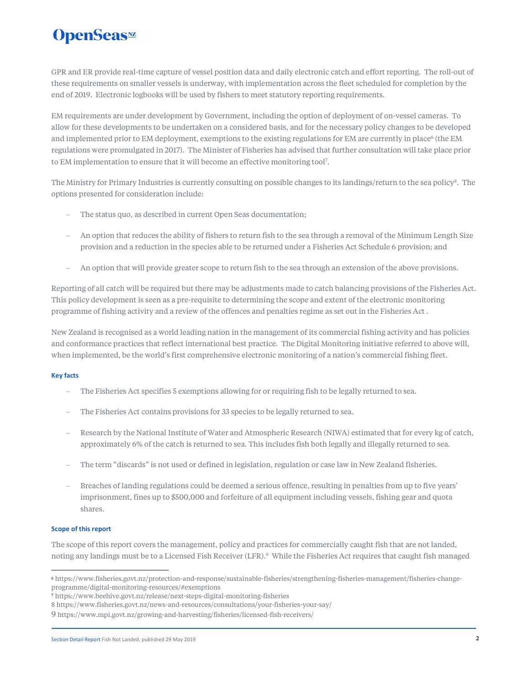GPR and ER provide real-time capture of vessel position data and daily electronic catch and effort reporting. The roll-out of these requirements on smaller vessels is underway, with implementation across the fleet scheduled for completion by the end of 2019. Electronic logbooks will be used by fishers to meet statutory reporting requirements.

EM requirements are under development by Government, including the option of deployment of on-vessel cameras. To allow for these developments to be undertaken on a considered basis, and for the necessary policy changes to be developed and implemented prior to EM deployment, exemptions to the existing regulations for EM are currently in place $^6$  (the EM regulations were promulgated in 2017). The Minister of Fisheries has advised that further consultation will take place prior to EM implementation to ensure that it will become an effective monitoring tool<sup>7</sup>.

The Ministry for Primary Industries is currently consulting on possible changes to its landings/return to the sea policy<sup>8</sup>. The options presented for consideration include:

- The status quo, as described in current Open Seas documentation;
- An option that reduces the ability of fishers to return fish to the sea through a removal of the Minimum Length Size provision and a reduction in the species able to be returned under a Fisheries Act Schedule 6 provision; and
- An option that will provide greater scope to return fish to the sea through an extension of the above provisions.

Reporting of all catch will be required but there may be adjustments made to catch balancing provisions of the Fisheries Act. This policy development is seen as a pre-requisite to determining the scope and extent of the electronic monitoring programme of fishing activity and a review of the offences and penalties regime as set out in the Fisheries Act .

New Zealand is recognised as a world leading nation in the management of its commercial fishing activity and has policies and conformance practices that reflect international best practice. The Digital Monitoring initiative referred to above will, when implemented, be the world's first comprehensive electronic monitoring of a nation's commercial fishing fleet.

### **Key facts**

- The Fisheries Act specifies 5 exemptions allowing for or requiring fish to be legally returned to sea.
- The Fisheries Act contains provisions for 33 species to be legally returned to sea.
- Research by the National Institute of Water and Atmospheric Research (NIWA) estimated that for every kg of catch, approximately 6% of the catch is returned to sea. This includes fish both legally and illegally returned to sea.
- The term "discards" is not used or defined in legislation, regulation or case law in New Zealand fisheries.
- Breaches of landing regulations could be deemed a serious offence, resulting in penalties from up to five years' imprisonment, fines up to \$500,000 and forfeiture of all equipment including vessels, fishing gear and quota shares.

### **Scope of this report**

The scope of this report covers the management, policy and practices for commercially caught fish that are not landed, noting any landings must be to a Licensed Fish Receiver (LFR).<sup>9</sup> While the Fisheries Act requires that caught fish managed

<sup>6</sup> https://www.fisheries.govt.nz/protection-and-response/sustainable-fisheries/strengthening-fisheries-management/fisheries-changeprogramme/digital-monitoring-resources/#exemptions

<sup>7</sup> https://www.beehive.govt.nz/release/next-steps-digital-monitoring-fisheries

<sup>8</sup> https://www.fisheries.govt.nz/news-and-resources/consultations/your-fisheries-your-say/

<sup>9</sup> https://www.mpi.govt.nz/growing-and-harvesting/fisheries/licensed-fish-receivers/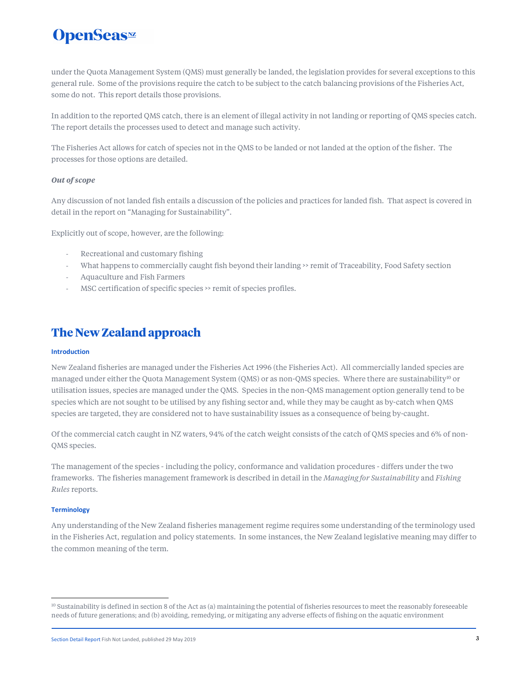# **OpenSeas**<sup>*M*</sup>

under the Quota Management System (QMS) must generally be landed, the legislation provides for several exceptions to this general rule. Some of the provisions require the catch to be subject to the catch balancing provisions of the Fisheries Act, some do not. This report details those provisions.

In addition to the reported QMS catch, there is an element of illegal activity in not landing or reporting of QMS species catch. The report details the processes used to detect and manage such activity.

The Fisheries Act allows for catch of species not in the QMS to be landed or not landed at the option of the fisher. The processes for those options are detailed.

### *Out of scope*

Any discussion of not landed fish entails a discussion of the policies and practices for landed fish. That aspect is covered in detail in the report on "Managing for Sustainability".

Explicitly out of scope, however, are the following:

- Recreational and customary fishing
- What happens to commercially caught fish beyond their landing >> remit of Traceability, Food Safety section
- Aquaculture and Fish Farmers
- MSC certification of specific species >> remit of species profiles.

### **The New Zealand approach**

### **Introduction**

New Zealand fisheries are managed under the Fisheries Act 1996 (the Fisheries Act). All commercially landed species are managed under either the Quota Management System (QMS) or as non-QMS species. Where there are sustainability<sup>10</sup> or utilisation issues, species are managed under the QMS. Species in the non-QMS management option generally tend to be species which are not sought to be utilised by any fishing sector and, while they may be caught as by-catch when QMS species are targeted, they are considered not to have sustainability issues as a consequence of being by-caught.

Of the commercial catch caught in NZ waters, 94% of the catch weight consists of the catch of QMS species and 6% of non-QMS species.

The management of the species - including the policy, conformance and validation procedures - differs under the two frameworks. The fisheries management framework is described in detail in the *Managing for Sustainability* and *Fishing Rules* reports.

### **Terminology**

Any understanding of the New Zealand fisheries management regime requires some understanding of the terminology used in the Fisheries Act, regulation and policy statements. In some instances, the New Zealand legislative meaning may differ to the common meaning of the term.

 $10$  Sustainability is defined in section 8 of the Act as (a) maintaining the potential of fisheries resources to meet the reasonably foreseeable needs of future generations; and (b) avoiding, remedying, or mitigating any adverse effects of fishing on the aquatic environment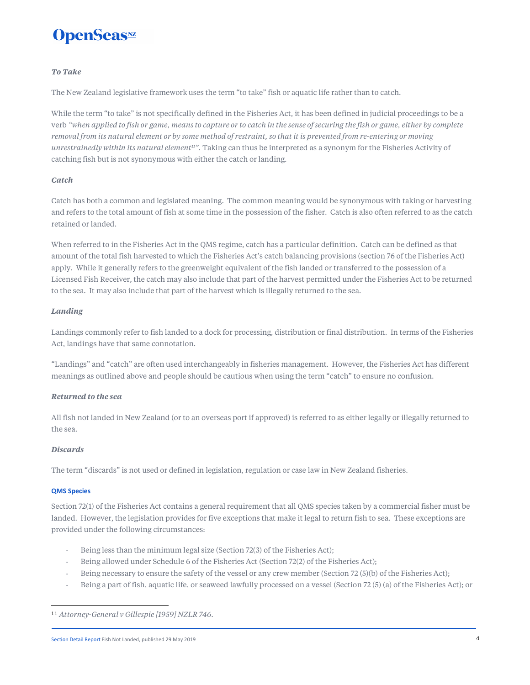# **OpenSeas**<sup>*m*</sup>

### *To Take*

The New Zealand legislative framework uses the term "to take" fish or aquatic life rather than to catch.

While the term "to take" is not specifically defined in the Fisheries Act, it has been defined in judicial proceedings to be a verb *"when applied to fish or game, means to capture or to catch in the sense of securing the fish or game, either by complete removal from its natural element or by some method of restraint, so that it is prevented from re-entering or moving unrestrainedly within its natural element<sup>11</sup>".* Taking can thus be interpreted as a synonym for the Fisheries Activity of catching fish but is not synonymous with either the catch or landing.

### *Catch*

Catch has both a common and legislated meaning. The common meaning would be synonymous with taking or harvesting and refers to the total amount of fish at some time in the possession of the fisher. Catch is also often referred to as the catch retained or landed.

When referred to in the Fisheries Act in the QMS regime, catch has a particular definition. Catch can be defined as that amount of the total fish harvested to which the Fisheries Act's catch balancing provisions (section 76 of the Fisheries Act) apply. While it generally refers to the greenweight equivalent of the fish landed or transferred to the possession of a Licensed Fish Receiver, the catch may also include that part of the harvest permitted under the Fisheries Act to be returned to the sea. It may also include that part of the harvest which is illegally returned to the sea.

### *Landing*

Landings commonly refer to fish landed to a dock for processing, distribution or final distribution. In terms of the Fisheries Act, landings have that same connotation.

"Landings" and "catch" are often used interchangeably in fisheries management. However, the Fisheries Act has different meanings as outlined above and people should be cautious when using the term "catch" to ensure no confusion.

### *Returned to the sea*

All fish not landed in New Zealand (or to an overseas port if approved) is referred to as either legally or illegally returned to the sea.

### *Discards*

The term "discards" is not used or defined in legislation, regulation or case law in New Zealand fisheries.

### **QMS Species**

Section 72(1) of the Fisheries Act contains a general requirement that all QMS species taken by a commercial fisher must be landed. However, the legislation provides for five exceptions that make it legal to return fish to sea. These exceptions are provided under the following circumstances:

- Being less than the minimum legal size (Section 72(3) of the Fisheries Act);
- Being allowed under Schedule 6 of the Fisheries Act (Section 72(2) of the Fisheries Act);
- Being necessary to ensure the safety of the vessel or any crew member (Section 72 (5)(b) of the Fisheries Act);
- Being a part of fish, aquatic life, or seaweed lawfully processed on a vessel (Section 72 (5) (a) of the Fisheries Act); or

<sup>11</sup> *Attorney-General v Gillespie [1959] NZLR 746*.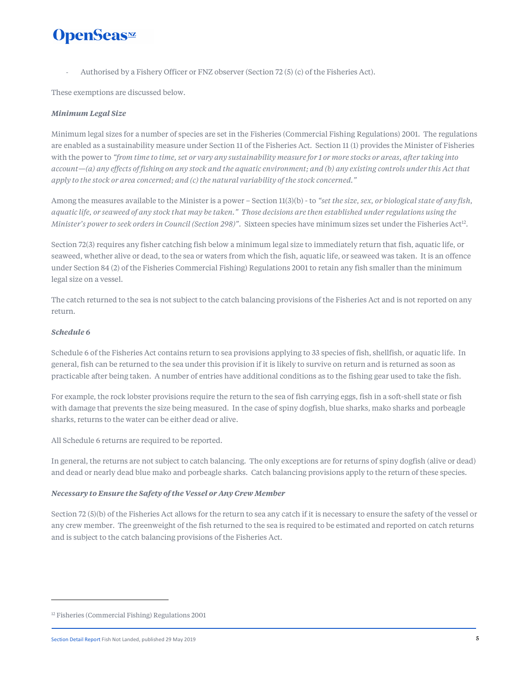Authorised by a Fishery Officer or FNZ observer (Section 72 (5) (c) of the Fisheries Act).

These exemptions are discussed below.

### *Minimum Legal Size*

Minimum legal sizes for a number of species are set in the Fisheries (Commercial Fishing Regulations) 2001. The regulations are enabled as a sustainability measure under Section 11 of the Fisheries Act. Section 11 (1) provides the Minister of Fisheries with the power to *"from time to time, set or vary any sustainability measure for 1 or more stocks or areas, after taking into account—(a) any effects of fishing on any stock and the aquatic environment; and (b) any existing controls under this Act that apply to the stock or area concerned; and (c) the natural variability of the stock concerned."* 

Among the measures available to the Minister is a power – Section 11(3)(b) - to "set the size, sex, or biological state of any fish, *aquatic life, or seaweed of any stock that may be taken." Those decisions are then established under regulations using the*  Minister's power to seek orders in Council (Section 298)". Sixteen species have minimum sizes set under the Fisheries Act<sup>12</sup>.

Section 72(3) requires any fisher catching fish below a minimum legal size to immediately return that fish, aquatic life, or seaweed, whether alive or dead, to the sea or waters from which the fish, aquatic life, or seaweed was taken. It is an offence under Section 84 (2) of the Fisheries Commercial Fishing) Regulations 2001 to retain any fish smaller than the minimum legal size on a vessel.

The catch returned to the sea is not subject to the catch balancing provisions of the Fisheries Act and is not reported on any return.

### *Schedule 6*

Schedule 6 of the Fisheries Act contains return to sea provisions applying to 33 species of fish, shellfish, or aquatic life. In general, fish can be returned to the sea under this provision if it is likely to survive on return and is returned as soon as practicable after being taken. A number of entries have additional conditions as to the fishing gear used to take the fish.

For example, the rock lobster provisions require the return to the sea of fish carrying eggs, fish in a soft-shell state or fish with damage that prevents the size being measured. In the case of spiny dogfish, blue sharks, mako sharks and porbeagle sharks, returns to the water can be either dead or alive.

All Schedule 6 returns are required to be reported.

In general, the returns are not subject to catch balancing. The only exceptions are for returns of spiny dogfish (alive or dead) and dead or nearly dead blue mako and porbeagle sharks. Catch balancing provisions apply to the return of these species.

### *Necessary to Ensure the Safety of the Vessel or Any Crew Member*

Section 72 (5)(b) of the Fisheries Act allows for the return to sea any catch if it is necessary to ensure the safety of the vessel or any crew member. The greenweight of the fish returned to the sea is required to be estimated and reported on catch returns and is subject to the catch balancing provisions of the Fisheries Act.

<sup>&</sup>lt;sup>12</sup> Fisheries (Commercial Fishing) Regulations 2001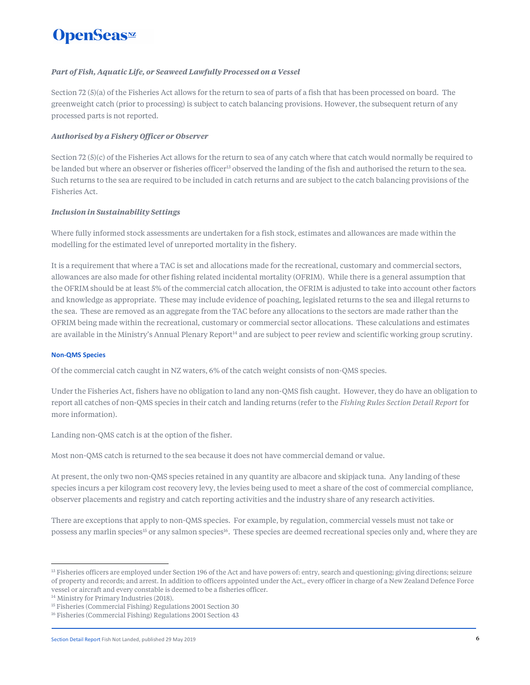### *Part of Fish, Aquatic Life, or Seaweed Lawfully Processed on a Vessel*

Section 72 (5)(a) of the Fisheries Act allows for the return to sea of parts of a fish that has been processed on board. The greenweight catch (prior to processing) is subject to catch balancing provisions. However, the subsequent return of any processed parts is not reported.

### *Authorised by a Fishery Officer or Observer*

Section 72 (5)(c) of the Fisheries Act allows for the return to sea of any catch where that catch would normally be required to be landed but where an observer or fisheries officer<sup>13</sup> observed the landing of the fish and authorised the return to the sea. Such returns to the sea are required to be included in catch returns and are subject to the catch balancing provisions of the Fisheries Act.

### *Inclusion in Sustainability Settings*

Where fully informed stock assessments are undertaken for a fish stock, estimates and allowances are made within the modelling for the estimated level of unreported mortality in the fishery.

It is a requirement that where a TAC is set and allocations made for the recreational, customary and commercial sectors, allowances are also made for other fishing related incidental mortality (OFRIM). While there is a general assumption that the OFRIM should be at least 5% of the commercial catch allocation, the OFRIM is adjusted to take into account other factors and knowledge as appropriate. These may include evidence of poaching, legislated returns to the sea and illegal returns to the sea. These are removed as an aggregate from the TAC before any allocations to the sectors are made rather than the OFRIM being made within the recreational, customary or commercial sector allocations. These calculations and estimates are available in the Ministry's Annual Plenary Report<sup>14</sup> and are subject to peer review and scientific working group scrutiny.

### **Non-QMS Species**

Of the commercial catch caught in NZ waters, 6% of the catch weight consists of non-QMS species.

Under the Fisheries Act, fishers have no obligation to land any non-QMS fish caught. However, they do have an obligation to report all catches of non-QMS species in their catch and landing returns (refer to the *Fishing Rules Section Detail Report* for more information).

Landing non-QMS catch is at the option of the fisher.

Most non-QMS catch is returned to the sea because it does not have commercial demand or value.

At present, the only two non-QMS species retained in any quantity are albacore and skipjack tuna. Any landing of these species incurs a per kilogram cost recovery levy, the levies being used to meet a share of the cost of commercial compliance, observer placements and registry and catch reporting activities and the industry share of any research activities.

There are exceptions that apply to non-QMS species. For example, by regulation, commercial vessels must not take or possess any marlin species<sup>15</sup> or any salmon species<sup>16</sup>. These species are deemed recreational species only and, where they are

<sup>&</sup>lt;sup>13</sup> Fisheries officers are employed under Section 196 of the Act and have powers of: entry, search and questioning; giving directions; seizure of property and records; and arrest. In addition to officers appointed under the Act,, every officer in charge of a New Zealand Defence Force vessel or aircraft and every constable is deemed to be a fisheries officer.

<sup>&</sup>lt;sup>14</sup> Ministry for Primary Industries (2018).

<sup>&</sup>lt;sup>15</sup> Fisheries (Commercial Fishing) Regulations 2001 Section 30

<sup>&</sup>lt;sup>16</sup> Fisheries (Commercial Fishing) Regulations 2001 Section 43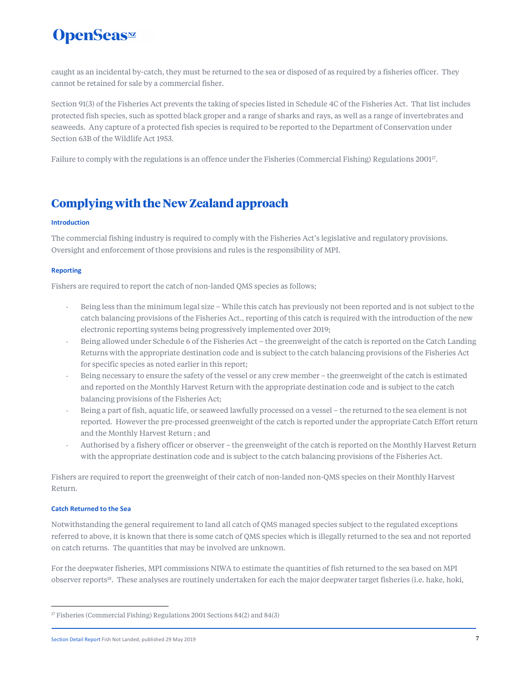caught as an incidental by-catch, they must be returned to the sea or disposed of as required by a fisheries officer. They cannot be retained for sale by a commercial fisher.

Section 91(3) of the Fisheries Act prevents the taking of species listed in Schedule 4C of the Fisheries Act. That list includes protected fish species, such as spotted black groper and a range of sharks and rays, as well as a range of invertebrates and seaweeds. Any capture of a protected fish species is required to be reported to the Department of Conservation under Section 63B of the Wildlife Act 1953.

Failure to comply with the regulations is an offence under the Fisheries (Commercial Fishing) Regulations 2001<sup>17</sup>.

### **Complying with the New Zealand approach**

### **Introduction**

The commercial fishing industry is required to comply with the Fisheries Act's legislative and regulatory provisions. Oversight and enforcement of those provisions and rules is the responsibility of MPI.

### **Reporting**

Fishers are required to report the catch of non-landed QMS species as follows;

- Being less than the minimum legal size While this catch has previously not been reported and is not subject to the catch balancing provisions of the Fisheries Act., reporting of this catch is required with the introduction of the new electronic reporting systems being progressively implemented over 2019;
- Being allowed under Schedule 6 of the Fisheries Act the greenweight of the catch is reported on the Catch Landing Returns with the appropriate destination code and is subject to the catch balancing provisions of the Fisheries Act for specific species as noted earlier in this report;
- Being necessary to ensure the safety of the vessel or any crew member the greenweight of the catch is estimated and reported on the Monthly Harvest Return with the appropriate destination code and is subject to the catch balancing provisions of the Fisheries Act;
- Being a part of fish, aquatic life, or seaweed lawfully processed on a vessel the returned to the sea element is not reported. However the pre-processed greenweight of the catch is reported under the appropriate Catch Effort return and the Monthly Harvest Return ; and
- Authorised by a fishery officer or observer the greenweight of the catch is reported on the Monthly Harvest Return with the appropriate destination code and is subject to the catch balancing provisions of the Fisheries Act.

Fishers are required to report the greenweight of their catch of non-landed non-QMS species on their Monthly Harvest Return.

### **Catch Returned to the Sea**

Notwithstanding the general requirement to land all catch of QMS managed species subject to the regulated exceptions referred to above, it is known that there is some catch of QMS species which is illegally returned to the sea and not reported on catch returns. The quantities that may be involved are unknown.

For the deepwater fisheries, MPI commissions NIWA to estimate the quantities of fish returned to the sea based on MPI observer reports<sup>18</sup>. These analyses are routinely undertaken for each the major deepwater target fisheries (i.e. hake, hoki,

<sup>&</sup>lt;sup>17</sup> Fisheries (Commercial Fishing) Regulations 2001 Sections 84(2) and 84(3)

Section Detail Report Fish Not Landed, published 29 May 2019 **7** The state of the state of the state of the state of the state of the state of the state of the state of the state of the state of the state of the state of t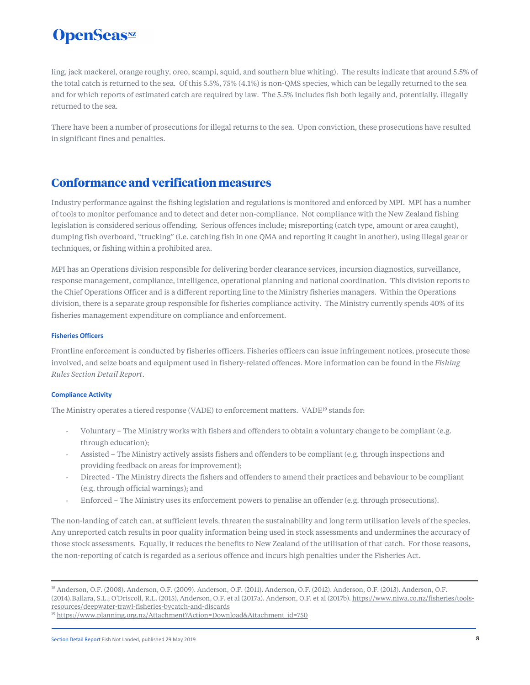ling, jack mackerel, orange roughy, oreo, scampi, squid, and southern blue whiting). The results indicate that around 5.5% of the total catch is returned to the sea. Of this 5.5%, 75% (4.1%) is non-QMS species, which can be legally returned to the sea and for which reports of estimated catch are required by law. The 5.5% includes fish both legally and, potentially, illegally returned to the sea.

There have been a number of prosecutions for illegal returns to the sea. Upon conviction, these prosecutions have resulted in significant fines and penalties.

### **Conformance and verification measures**

Industry performance against the fishing legislation and regulations is monitored and enforced by MPI. MPI has a number of tools to monitor perfomance and to detect and deter non-compliance. Not compliance with the New Zealand fishing legislation is considered serious offending. Serious offences include; misreporting (catch type, amount or area caught), dumping fish overboard, "trucking" (i.e. catching fish in one QMA and reporting it caught in another), using illegal gear or techniques, or fishing within a prohibited area.

MPI has an Operations division responsible for delivering border clearance services, incursion diagnostics, surveillance, response management, compliance, intelligence, operational planning and national coordination. This division reports to the Chief Operations Officer and is a different reporting line to the Ministry fisheries managers. Within the Operations division, there is a separate group responsible for fisheries compliance activity. The Ministry currently spends 40% of its fisheries management expenditure on compliance and enforcement.

### **Fisheries Officers**

Frontline enforcement is conducted by fisheries officers. Fisheries officers can issue infringement notices, prosecute those involved, and seize boats and equipment used in fishery-related offences. More information can be found in the *Fishing Rules Section Detail Report*.

### **Compliance Activity**

The Ministry operates a tiered response (VADE) to enforcement matters. VADE<sup>19</sup> stands for:

- Voluntary The Ministry works with fishers and offenders to obtain a voluntary change to be compliant (e.g. through education);
- Assisted The Ministry actively assists fishers and offenders to be compliant (e.g. through inspections and providing feedback on areas for improvement);
- Directed The Ministry directs the fishers and offenders to amend their practices and behaviour to be compliant (e.g. through official warnings); and
- Enforced The Ministry uses its enforcement powers to penalise an offender (e.g. through prosecutions).

The non-landing of catch can, at sufficient levels, threaten the sustainability and long term utilisation levels of the species. Any unreported catch results in poor quality information being used in stock assessments and undermines the accuracy of those stock assessments. Equally, it reduces the benefits to New Zealand of the utilisation of that catch. For those reasons, the non-reporting of catch is regarded as a serious offence and incurs high penalties under the Fisheries Act.

19 https://www.planning.org.nz/Attachment?Action=Download&Attachment\_id=750

Section Detail Report Fish Not Landed, published 29 May 2019 8

<sup>18</sup> Anderson, O.F. (2008). Anderson, O.F. (2009). Anderson, O.F. (2011). Anderson, O.F. (2012). Anderson, O.F. (2013). Anderson, O.F. (2014).Ballara, S.L.; O'Driscoll, R.L. (2015). Anderson, O.F. et al (2017a). Anderson, O.F. et al (2017b). https://www.niwa.co.nz/fisheries/toolsresources/deepwater-trawl-fisheries-bycatch-and-discards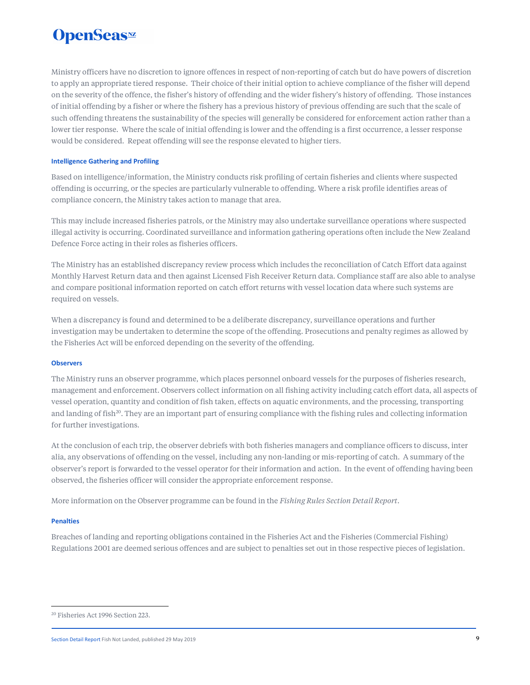Ministry officers have no discretion to ignore offences in respect of non-reporting of catch but do have powers of discretion to apply an appropriate tiered response. Their choice of their initial option to achieve compliance of the fisher will depend on the severity of the offence, the fisher's history of offending and the wider fishery's history of offending. Those instances of initial offending by a fisher or where the fishery has a previous history of previous offending are such that the scale of such offending threatens the sustainability of the species will generally be considered for enforcement action rather than a lower tier response. Where the scale of initial offending is lower and the offending is a first occurrence, a lesser response would be considered. Repeat offending will see the response elevated to higher tiers.

### **Intelligence Gathering and Profiling**

Based on intelligence/information, the Ministry conducts risk profiling of certain fisheries and clients where suspected offending is occurring, or the species are particularly vulnerable to offending. Where a risk profile identifies areas of compliance concern, the Ministry takes action to manage that area.

This may include increased fisheries patrols, or the Ministry may also undertake surveillance operations where suspected illegal activity is occurring. Coordinated surveillance and information gathering operations often include the New Zealand Defence Force acting in their roles as fisheries officers.

The Ministry has an established discrepancy review process which includes the reconciliation of Catch Effort data against Monthly Harvest Return data and then against Licensed Fish Receiver Return data. Compliance staff are also able to analyse and compare positional information reported on catch effort returns with vessel location data where such systems are required on vessels.

When a discrepancy is found and determined to be a deliberate discrepancy, surveillance operations and further investigation may be undertaken to determine the scope of the offending. Prosecutions and penalty regimes as allowed by the Fisheries Act will be enforced depending on the severity of the offending.

### **Observers**

The Ministry runs an observer programme, which places personnel onboard vessels for the purposes of fisheries research, management and enforcement. Observers collect information on all fishing activity including catch effort data, all aspects of vessel operation, quantity and condition of fish taken, effects on aquatic environments, and the processing, transporting and landing of fish<sup>20</sup>. They are an important part of ensuring compliance with the fishing rules and collecting information for further investigations.

At the conclusion of each trip, the observer debriefs with both fisheries managers and compliance officers to discuss, inter alia, any observations of offending on the vessel, including any non-landing or mis-reporting of catch. A summary of the observer's report is forwarded to the vessel operator for their information and action. In the event of offending having been observed, the fisheries officer will consider the appropriate enforcement response.

More information on the Observer programme can be found in the *Fishing Rules Section Detail Report*.

### **Penalties**

Breaches of landing and reporting obligations contained in the Fisheries Act and the Fisheries (Commercial Fishing) Regulations 2001 are deemed serious offences and are subject to penalties set out in those respective pieces of legislation.

<sup>20</sup> Fisheries Act 1996 Section 223.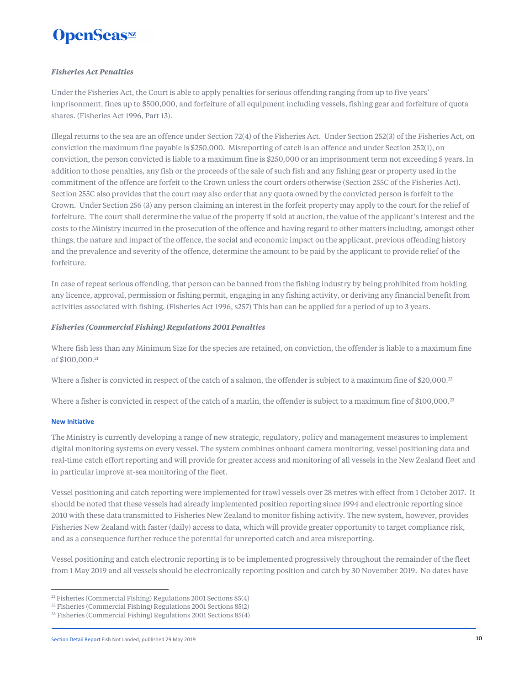### *Fisheries Act Penalties*

Under the Fisheries Act, the Court is able to apply penalties for serious offending ranging from up to five years' imprisonment, fines up to \$500,000, and forfeiture of all equipment including vessels, fishing gear and forfeiture of quota shares. (Fisheries Act 1996, Part 13).

Illegal returns to the sea are an offence under Section 72(4) of the Fisheries Act. Under Section 252(3) of the Fisheries Act, on conviction the maximum fine payable is \$250,000. Misreporting of catch is an offence and under Section 252(1), on conviction, the person convicted is liable to a maximum fine is \$250,000 or an imprisonment term not exceeding 5 years. In addition to those penalties, any fish or the proceeds of the sale of such fish and any fishing gear or property used in the commitment of the offence are forfeit to the Crown unless the court orders otherwise (Section 255C of the Fisheries Act). Section 255C also provides that the court may also order that any quota owned by the convicted person is forfeit to the Crown. Under Section 256 (3) any person claiming an interest in the forfeit property may apply to the court for the relief of forfeiture. The court shall determine the value of the property if sold at auction, the value of the applicant's interest and the costs to the Ministry incurred in the prosecution of the offence and having regard to other matters including, amongst other things, the nature and impact of the offence, the social and economic impact on the applicant, previous offending history and the prevalence and severity of the offence, determine the amount to be paid by the applicant to provide relief of the forfeiture.

In case of repeat serious offending, that person can be banned from the fishing industry by being prohibited from holding any licence, approval, permission or fishing permit, engaging in any fishing activity, or deriving any financial benefit from activities associated with fishing. (Fisheries Act 1996, s257) This ban can be applied for a period of up to 3 years.

### *Fisheries (Commercial Fishing) Regulations 2001 Penalties*

Where fish less than any Minimum Size for the species are retained, on conviction, the offender is liable to a maximum fine of \$100,000.<sup>21</sup>

Where a fisher is convicted in respect of the catch of a salmon, the offender is subject to a maximum fine of \$20,000. $^{22}$ 

Where a fisher is convicted in respect of the catch of a marlin, the offender is subject to a maximum fine of \$100,000.<sup>23</sup>

### **New Initiative**

The Ministry is currently developing a range of new strategic, regulatory, policy and management measures to implement digital monitoring systems on every vessel. The system combines onboard camera monitoring, vessel positioning data and real-time catch effort reporting and will provide for greater access and monitoring of all vessels in the New Zealand fleet and in particular improve at-sea monitoring of the fleet.

Vessel positioning and catch reporting were implemented for trawl vessels over 28 metres with effect from 1 October 2017. It should be noted that these vessels had already implemented position reporting since 1994 and electronic reporting since 2010 with these data transmitted to Fisheries New Zealand to monitor fishing activity. The new system, however, provides Fisheries New Zealand with faster (daily) access to data, which will provide greater opportunity to target compliance risk, and as a consequence further reduce the potential for unreported catch and area misreporting.

Vessel positioning and catch electronic reporting is to be implemented progressively throughout the remainder of the fleet from 1 May 2019 and all vessels should be electronically reporting position and catch by 30 November 2019. No dates have

 $21$  Fisheries (Commercial Fishing) Regulations 2001 Sections 85(4)

<sup>22</sup> Fisheries (Commercial Fishing) Regulations 2001 Sections 85(2)

<sup>23</sup> Fisheries (Commercial Fishing) Regulations 2001 Sections 85(4)

Section Detail Report Fish Not Landed, published 29 May 2019 10<br> **10**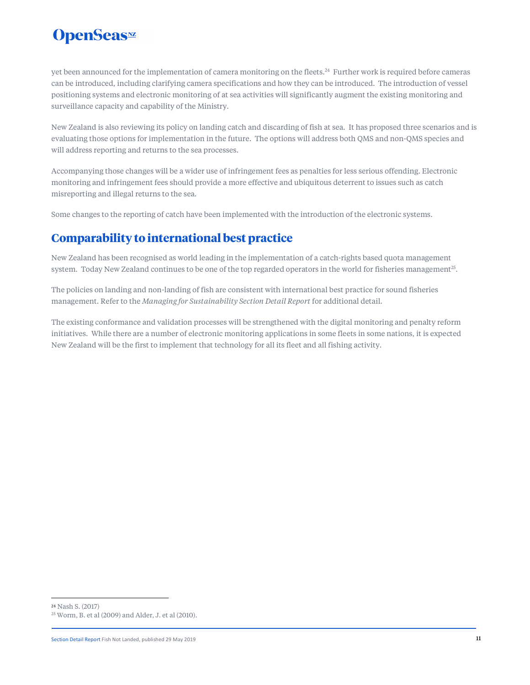yet been announced for the implementation of camera monitoring on the fleets.<sup>24</sup> Further work is required before cameras can be introduced, including clarifying camera specifications and how they can be introduced. The introduction of vessel positioning systems and electronic monitoring of at sea activities will significantly augment the existing monitoring and surveillance capacity and capability of the Ministry.

New Zealand is also reviewing its policy on landing catch and discarding of fish at sea. It has proposed three scenarios and is evaluating those options for implementation in the future. The options will address both QMS and non-QMS species and will address reporting and returns to the sea processes.

Accompanying those changes will be a wider use of infringement fees as penalties for less serious offending. Electronic monitoring and infringement fees should provide a more effective and ubiquitous deterrent to issues such as catch misreporting and illegal returns to the sea.

Some changes to the reporting of catch have been implemented with the introduction of the electronic systems.

### **Comparability to international best practice**

New Zealand has been recognised as world leading in the implementation of a catch-rights based quota management system. Today New Zealand continues to be one of the top regarded operators in the world for fisheries management<sup>25</sup>.

The policies on landing and non-landing of fish are consistent with international best practice for sound fisheries management. Refer to the *Managing for Sustainability Section Detail Report* for additional detail.

The existing conformance and validation processes will be strengthened with the digital monitoring and penalty reform initiatives. While there are a number of electronic monitoring applications in some fleets in some nations, it is expected New Zealand will be the first to implement that technology for all its fleet and all fishing activity.

<sup>24</sup> Nash S. (2017)

<sup>25</sup> Worm, B. et al (2009) and Alder, J. et al (2010).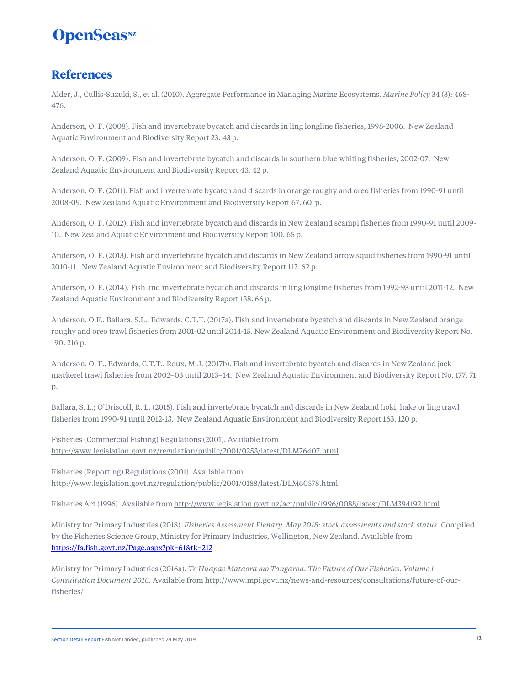### **References**

Alder, J., Cullis-Suzuki, S., et al. (2010). Aggregate Performance in Managing Marine Ecosystems. *Marine Policy* 34 (3): 468- 476.

Anderson, O. F. (2008). Fish and invertebrate bycatch and discards in ling longline fisheries, 1998-2006. New Zealand Aquatic Environment and Biodiversity Report 23. 43 p.

Anderson, O. F. (2009). Fish and invertebrate bycatch and discards in southern blue whiting fisheries, 2002-07. New Zealand Aquatic Environment and Biodiversity Report 43. 42 p.

Anderson, O. F. (2011). Fish and invertebrate bycatch and discards in orange roughy and oreo fisheries from 1990-91 until 2008-09. New Zealand Aquatic Environment and Biodiversity Report 67. 60 p.

Anderson, O. F. (2012). Fish and invertebrate bycatch and discards in New Zealand scampi fisheries from 1990-91 until 2009- 10. New Zealand Aquatic Environment and Biodiversity Report 100. 65 p.

Anderson, O. F. (2013). Fish and invertebrate bycatch and discards in New Zealand arrow squid fisheries from 1990-91 until 2010-11. New Zealand Aquatic Environment and Biodiversity Report 112. 62 p.

Anderson, O. F. (2014). Fish and invertebrate bycatch and discards in ling longline fisheries from 1992-93 until 2011-12. New Zealand Aquatic Environment and Biodiversity Report 138. 66 p.

Anderson, O.F., Ballara, S.L., Edwards, C.T.T. (2017a). Fish and invertebrate bycatch and discards in New Zealand orange roughy and oreo trawl fisheries from 2001-02 until 2014-15. New Zealand Aquatic Environment and Biodiversity Report No. 190. 216 p.

Anderson, O. F., Edwards, C.T.T., Roux, M-J. (2017b). Fish and invertebrate bycatch and discards in New Zealand jack mackerel trawl fisheries from 2002–03 until 2013–14. New Zealand Aquatic Environment and Biodiversity Report No. 177. 71 p.

Ballara, S. L.; O'Driscoll, R. L. (2015). Fish and invertebrate bycatch and discards in New Zealand hoki, hake or ling trawl fisheries from 1990-91 until 2012-13. New Zealand Aquatic Environment and Biodiversity Report 163. 120 p.

Fisheries (Commercial Fishing) Regulations (2001). Available from http://www.legislation.govt.nz/regulation/public/2001/0253/latest/DLM76407.html

Fisheries (Reporting) Regulations (2001). Available from http://www.legislation.govt.nz/regulation/public/2001/0188/latest/DLM60578.html

Fisheries Act (1996). Available from http://www.legislation.govt.nz/act/public/1996/0088/latest/DLM394192.html

Ministry for Primary Industries (2018). *Fisheries Assessment Plenary, May 2018: stock assessments and stock status.* Compiled by the Fisheries Science Group, Ministry for Primary Industries, Wellington, New Zealand. Available from https://fs.fish.govt.nz/Page.aspx?pk=61&tk=212

Ministry for Primary Industries (2016a). *Te Huapae Mataora mo Tangaroa. The Future of Our Fisheries. Volume 1 Consultation Document 2016*. Available from http://www.mpi.govt.nz/news-and-resources/consultations/future-of-ourfisheries/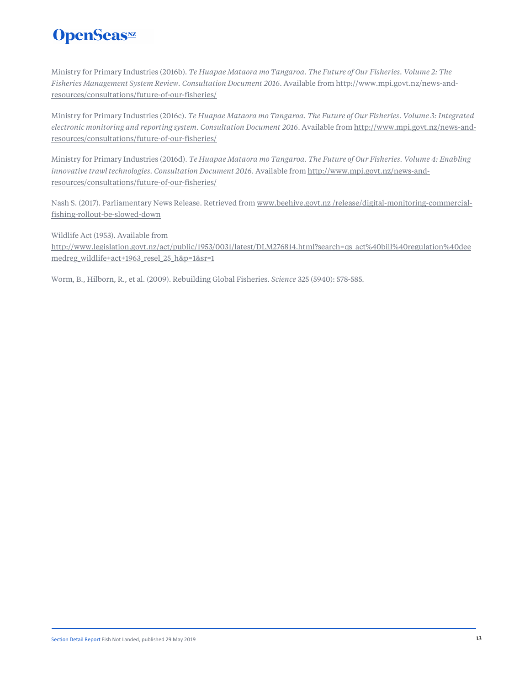Ministry for Primary Industries (2016b). *Te Huapae Mataora mo Tangaroa. The Future of Our Fisheries. Volume 2: The Fisheries Management System Review. Consultation Document 2016*. Available from http://www.mpi.govt.nz/news-andresources/consultations/future-of-our-fisheries/

Ministry for Primary Industries (2016c). *Te Huapae Mataora mo Tangaroa. The Future of Our Fisheries. Volume 3: Integrated electronic monitoring and reporting system. Consultation Document 2016*. Available from http://www.mpi.govt.nz/news-andresources/consultations/future-of-our-fisheries/

Ministry for Primary Industries (2016d). *Te Huapae Mataora mo Tangaroa. The Future of Our Fisheries. Volume 4: Enabling innovative trawl technologies. Consultation Document 2016*. Available from http://www.mpi.govt.nz/news-andresources/consultations/future-of-our-fisheries/

Nash S. (2017). Parliamentary News Release. Retrieved from www.beehive.govt.nz/release/digital-monitoring-commercialfishing-rollout-be-slowed-down

Wildlife Act (1953). Available from http://www.legislation.govt.nz/act/public/1953/0031/latest/DLM276814.html?search=qs\_act%40bill%40regulation%40dee medreg\_wildlife+act+1963\_resel\_25\_h&p=1&sr=1

Worm, B., Hilborn, R., et al. (2009). Rebuilding Global Fisheries. *Science* 325 (5940): 578-585.